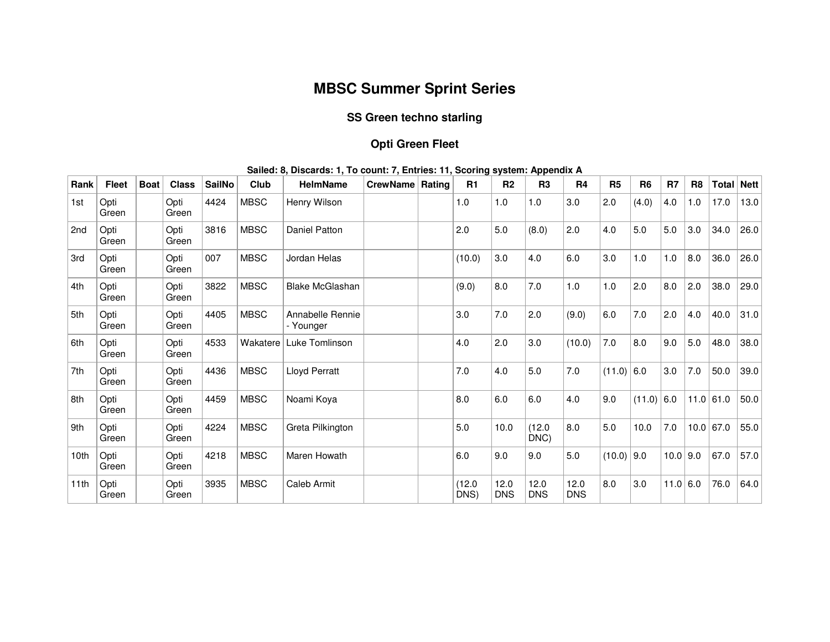# **MBSC Summer Sprint Series**

## **SS Green techno starling**

## **Opti Green Fleet**

| Rank            | <b>Fleet</b>  | <b>Boat</b> | <b>Class</b>  | <b>SailNo</b> | Club        | <b>HelmName</b>               | CrewName   Rating | R1             | R <sub>2</sub>     | r r<br>R <sub>3</sub> | R <sub>4</sub>     | R <sub>5</sub> | R <sub>6</sub> | R <sub>7</sub> | R <sub>8</sub> | Total   Nett |      |
|-----------------|---------------|-------------|---------------|---------------|-------------|-------------------------------|-------------------|----------------|--------------------|-----------------------|--------------------|----------------|----------------|----------------|----------------|--------------|------|
| 1st             | Opti<br>Green |             | Opti<br>Green | 4424          | <b>MBSC</b> | Henry Wilson                  |                   | 1.0            | 1.0                | 1.0                   | 3.0                | 2.0            | (4.0)          | 4.0            | 1.0            | 17.0         | 13.0 |
| 2 <sub>nd</sub> | Opti<br>Green |             | Opti<br>Green | 3816          | <b>MBSC</b> | Daniel Patton                 |                   | 2.0            | 5.0                | (8.0)                 | 2.0                | 4.0            | 5.0            | 5.0            | 3.0            | 34.0         | 26.0 |
| 3rd             | Opti<br>Green |             | Opti<br>Green | 007           | <b>MBSC</b> | Jordan Helas                  |                   | (10.0)         | 3.0                | 4.0                   | 6.0                | 3.0            | 1.0            | 1.0            | 8.0            | 36.0         | 26.0 |
| 4th             | Opti<br>Green |             | Opti<br>Green | 3822          | <b>MBSC</b> | <b>Blake McGlashan</b>        |                   | (9.0)          | 8.0                | 7.0                   | 1.0                | 1.0            | 2.0            | 8.0            | 2.0            | 38.0         | 29.0 |
| 5th             | Opti<br>Green |             | Opti<br>Green | 4405          | <b>MBSC</b> | Annabelle Rennie<br>- Younger |                   | 3.0            | 7.0                | 2.0                   | (9.0)              | 6.0            | 7.0            | 2.0            | 4.0            | 40.0         | 31.0 |
| 6th             | Opti<br>Green |             | Opti<br>Green | 4533          | Wakatere    | Luke Tomlinson                |                   | 4.0            | 2.0                | 3.0                   | (10.0)             | 7.0            | 8.0            | 9.0            | 5.0            | 48.0         | 38.0 |
| 7th             | Opti<br>Green |             | Opti<br>Green | 4436          | <b>MBSC</b> | Lloyd Perratt                 |                   | 7.0            | 4.0                | 5.0                   | 7.0                | (11.0)         | 6.0            | $3.0\,$        | 7.0            | 50.0         | 39.0 |
| 8th             | Opti<br>Green |             | Opti<br>Green | 4459          | <b>MBSC</b> | Noami Koya                    |                   | 8.0            | 6.0                | 6.0                   | 4.0                | 9.0            | $(11.0)$ 6.0   |                |                | 11.0 61.0    | 50.0 |
| 9th             | Opti<br>Green |             | Opti<br>Green | 4224          | <b>MBSC</b> | Greta Pilkington              |                   | 5.0            | 10.0               | (12.0)<br>DNC)        | 8.0                | 5.0            | 10.0           | 7.0            | 10.0           | 67.0         | 55.0 |
| 10th            | Opti<br>Green |             | Opti<br>Green | 4218          | <b>MBSC</b> | Maren Howath                  |                   | 6.0            | 9.0                | 9.0                   | 5.0                | $(10.0)$ 9.0   |                | 10.0   9.0     |                | 67.0         | 57.0 |
| 11th            | Opti<br>Green |             | Opti<br>Green | 3935          | <b>MBSC</b> | Caleb Armit                   |                   | (12.0)<br>DNS) | 12.0<br><b>DNS</b> | 12.0<br><b>DNS</b>    | 12.0<br><b>DNS</b> | 8.0            | 3.0            | $11.0$         | 6.0            | 76.0         | 64.0 |

**Sailed: 8, Discards: 1, To count: 7, Entries: 11, Scoring system: Appendix A**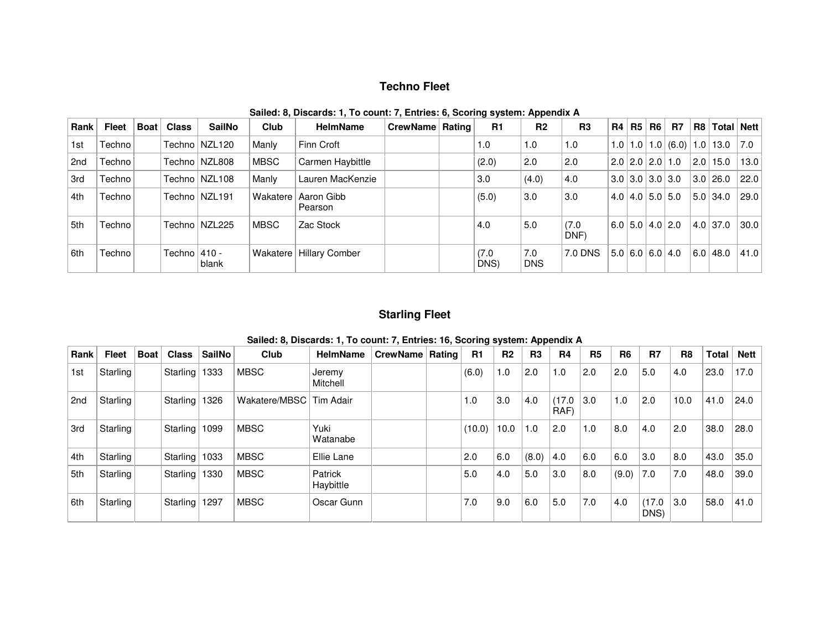### **Techno Fleet**

| <b>Rank</b> | Fleet  | Boat | <b>Class</b>    | <b>SailNo</b>   | <b>Club</b>     | <b>HelmName</b>           | CrewName   Rating |  | R1           | R <sub>2</sub>    | R3            |  | R4   R5 | R6 | <b>R7</b>                     | R8  | Total Nett                                       |      |
|-------------|--------|------|-----------------|-----------------|-----------------|---------------------------|-------------------|--|--------------|-------------------|---------------|--|---------|----|-------------------------------|-----|--------------------------------------------------|------|
| 1st         | Techno |      |                 | Techno   NZL120 | Manly           | Finn Croft                |                   |  | 1.0          | 1.0               | 1.0           |  |         |    |                               |     | $1.0$   $1.0$   $1.0$   $(6.0)$   $1.0$   $13.0$ | 7.0  |
| 2nd         | Techno |      |                 | Techno   NZL808 | MBSC            | Carmen Haybittle          |                   |  | (2.0)        | 2.0               | 2.0           |  |         |    | $2.0$   2.0   2.0   1.0       | 2.0 | 15.0                                             | 13.0 |
| 3rd         | Techno |      |                 | Techno   NZL108 | Manly           | Lauren MacKenzie          |                   |  | 3.0          | (4.0)             | 4.0           |  |         |    | $3.0$   3.0   3.0   3.0       |     | 3.0 26.0                                         | 22.0 |
| 4th         | Techno |      |                 | Techno   NZL191 | <b>Wakatere</b> | Aaron Gibb<br>Pearson     |                   |  | (5.0)        | 3.0               | 3.0           |  |         |    | $4.0$   $4.0$   $5.0$   $5.0$ |     | 5.0 34.0                                         | 29.0 |
| 5th         | Techno |      |                 | Techno   NZL225 | MBSC            | Zac Stock                 |                   |  | 4.0          | 5.0               | (7.0)<br>DNF) |  |         |    | $6.0$ 5.0 4.0 2.0             |     | 4.0 37.0                                         | 30.0 |
| 6th         | Techno |      | Techno $ 410 -$ | blank           |                 | Wakatere   Hillary Comber |                   |  | (7.0<br>DNS) | 7.0<br><b>DNS</b> | 7.0 DNS       |  |         |    | $5.0$ 6.0 6.0 4.0             |     | 6.0 48.0                                         | 41.0 |

**Sailed: 8, Discards: 1, To count: 7, Entries: 6, Scoring system: Appendix A** 

#### **Starling Fleet**

|      |              |             |                 |        |               |                      |                 |        |                | . г            |                |           |                |                |                |       |             |
|------|--------------|-------------|-----------------|--------|---------------|----------------------|-----------------|--------|----------------|----------------|----------------|-----------|----------------|----------------|----------------|-------|-------------|
| Rank | <b>Fleet</b> | <b>Boat</b> | <b>Class</b>    | SailNo | Club          | <b>HelmName</b>      | CrewName Rating | R1     | R <sub>2</sub> | R <sub>3</sub> | R <sub>4</sub> | <b>R5</b> | R <sub>6</sub> | <b>R7</b>      | R <sub>8</sub> | Total | <b>Nett</b> |
| 1st  | Starling     |             | Starling        | 1333   | <b>MBSC</b>   | Jeremy<br>Mitchell   |                 | (6.0)  | 1.0            | 2.0            | 1.0            | 2.0       | 2.0            | 5.0            | 4.0            | 23.0  | 17.0        |
| 2nd  | Starling     |             | Starling        | 1326   | Wakatere/MBSC | Tim Adair            |                 | 1.0    | 3.0            | 4.0            | (17.0)<br>RAF) | 3.0       | 1.0            | 2.0            | 10.0           | 41.0  | 24.0        |
| 3rd  | Starling     |             | Starling   1099 |        | <b>MBSC</b>   | Yuki<br>Watanabe     |                 | (10.0) | 10.0           | 1.0            | 2.0            | 1.0       | 8.0            | 4.0            | 2.0            | 38.0  | 28.0        |
| 4th  | Starling     |             | Starling   1033 |        | <b>MBSC</b>   | Ellie Lane           |                 | 2.0    | 6.0            | (8.0)          | 4.0            | 6.0       | 6.0            | 3.0            | 8.0            | 43.0  | 35.0        |
| 5th  | Starling     |             | Starling        | 1330   | <b>MBSC</b>   | Patrick<br>Haybittle |                 | 5.0    | 4.0            | 5.0            | 3.0            | 8.0       | (9.0)          | 7.0            | 7.0            | 48.0  | 39.0        |
| 6th  | Starling     |             | Starling 1297   |        | <b>MBSC</b>   | Oscar Gunn           |                 | 7.0    | 9.0            | 6.0            | 5.0            | 7.0       | 4.0            | (17.0)<br>DNS) | 3.0            | 58.0  | 41.0        |

**Sailed: 8, Discards: 1, To count: 7, Entries: 16, Scoring system: Appendix A**